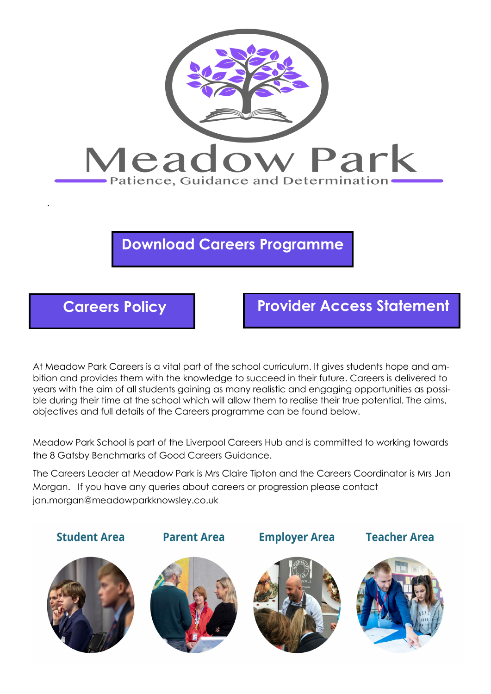

# **Download Careers Programme**



# **Careers Policy Provider Access Statement**

At Meadow Park Careers is a vital part of the school curriculum. It gives students hope and ambition and provides them with the knowledge to succeed in their future. Careers is delivered to years with the aim of all students gaining as many realistic and engaging opportunities as possible during their time at the school which will allow them to realise their true potential. The aims, objectives and full details of the Careers programme can be found below.

Meadow Park School is part of the Liverpool Careers Hub and is committed to working towards the 8 Gatsby Benchmarks of Good Careers Guidance.

The Careers Leader at Meadow Park is Mrs Claire Tipton and the Careers Coordinator is Mrs Jan Morgan. If you have any queries about careers or progression please contact jan.morgan@meadowparkknowsley.co.uk

**Student Area** 





**Parent Area** 



**Employer Area** 



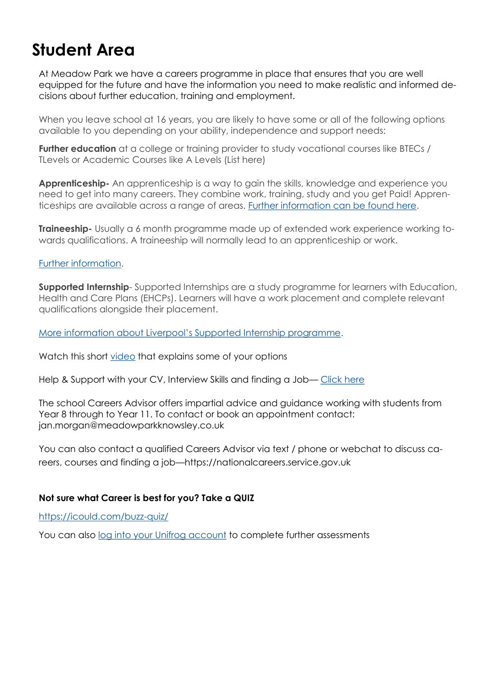# **Student Area**

At Meadow Park we have a careers programme in place that ensures that you are well equipped for the future and have the information you need to make realistic and informed decisions about further education, training and employment.

When you leave school at 16 years, you are likely to have some or all of the following options available to you depending on your ability, independence and support needs:

**Further education** at a college or training provider to study vocational courses like BTECs / TLevels or Academic Courses like A Levels (List here)

**Apprenticeship-** An apprenticeship is a way to gain the skills, knowledge and experience you need to get into many careers. They combine work, training, study and you get Paid! Apprenticeships are available across a range of areas. [Further information can be found here.](http://www.gov.uk/apply-apprenticeship)

**Traineeship-** Usually a 6 month programme made up of extended work experience working towards qualifications. A traineeship will normally lead to an apprenticeship or work.

#### [Further information.](http://www.gov.uk/guidance/traineeship-information-for-trainees)

**Supported Internship**- Supported Internships are a study programme for learners with Education, Health and Care Plans (EHCPs). Learners will have a work placement and complete relevant qualifications alongside their placement.

[More information about Liverpool's Supported Internship programme](https://www.knowsleycollege.ac.uk/supported-learning/supported-internship-programme/).

Watch this short [video](https://www.youtube.com/watch?v=f_xAQNNi4pA) that explains some of your options

Help & Support with your CV, Interview Skills and finding a Job-[Click here](https://jobhelp.campaign.gov.uk/starting-out-in-your-career/)

The school Careers Advisor offers impartial advice and guidance working with students from Year 8 through to Year 11. To contact or book an appointment contact: jan.morgan@meadowparkknowsley.co.uk

You can also contact a qualified Careers Advisor via text / phone or webchat to discuss careers, courses and finding a job—https://nationalcareers.service.gov.uk

### **Not sure what Career is best for you? Take a QUIZ**

<https://icould.com/buzz-quiz/>

You can also [log into your Unifrog account](https://www.unifrog.org/sign-in) to complete further assessments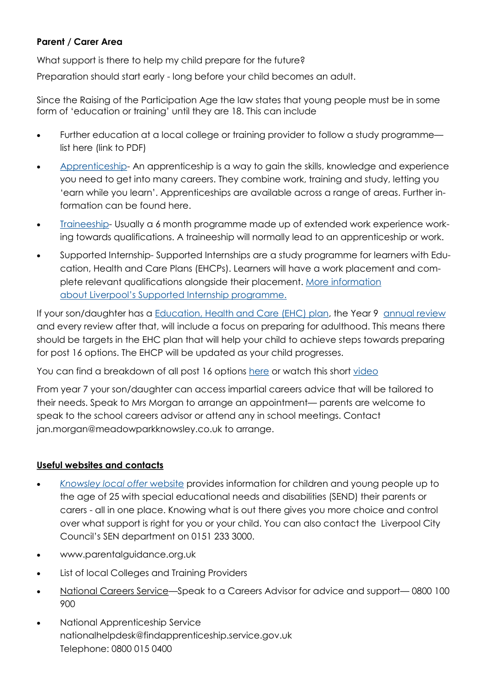## **Parent / Carer Area**

What support is there to help my child prepare for the future?

Preparation should start early - long before your child becomes an adult.

Since the Raising of the Participation Age the law states that young people must be in some form of 'education or training' until they are 18. This can include

- Further education at a local college or training provider to follow a study programme list here (link to PDF)
- [Apprenticeship-](https://www.gov.uk/topic/further-education-skills/apprenticeships) An apprenticeship is a way to gain the skills, knowledge and experience you need to get into many careers. They combine work, training and study, letting you 'earn while you learn'. Apprenticeships are available across a range of areas. Further information can be found here.
- [Traineeship-](https://www.gov.uk/government/collections/traineeships--2) Usually a 6 month programme made up of extended work experience working towards qualifications. A traineeship will normally lead to an apprenticeship or work.
- Supported Internship- Supported Internships are a study programme for learners with Education, Health and Care Plans (EHCPs). Learners will have a work placement and complete relevant qualifications alongside their placement. [More information](https://fsd.liverpool.gov.uk/kb5/liverpool/fsd/results.page?localofferchannel=7-4)  about [Liverpool's Supported Internship programme.](https://fsd.liverpool.gov.uk/kb5/liverpool/fsd/results.page?localofferchannel=7-4)

If your son/daughter has a [Education, Health and Care \(EHC\) plan,](https://contact.org.uk/advice-and-support/education-learning/ehc-plans-assessments/what-is-an-ehc-plan/) the Year 9 annual review and every review after that, will include a focus on preparing for adulthood. This means there should be targets in the EHC plan that will help your child to achieve steps towards preparing for post 16 options. The EHCP will be updated as your child progresses.

You can find a breakdown of all post 16 options [here](https://nationalcareers.service.gov.uk/careers-advice/career-choices-at-16) or watch this short [video](https://www.youtube.com/watch?app=desktop&v=f_xAQNNi4pA)

From year 7 your son/daughter can access impartial careers advice that will be tailored to their needs. Speak to Mrs Morgan to arrange an appointment— parents are welcome to speak to the school careers advisor or attend any in school meetings. Contact jan.morgan@meadowparkknowsley.co.uk to arrange.

## **Useful websites and contacts**

- *[Knowsley local offer](https://www.knowsleyinfo.co.uk/categories/knowsley-local-offer-send)* website provides information for children and young people up to the age of 25 with special educational needs and disabilities (SEND) their parents or carers - all in one place. Knowing what is out there gives you more choice and control over what support is right for you or your child. You can also contact the Liverpool City Council's SEN department on 0151 233 3000.
- www.parentalguidance.org.uk
- List of local Colleges and Training Providers
- [National Careers Service](https://nationalcareers.service.gov.uk/)—Speak to a Careers Advisor for advice and support— 0800 100 900
- National Apprenticeship Service nationalhelpdesk@findapprenticeship.service.gov.uk Telephone: 0800 015 0400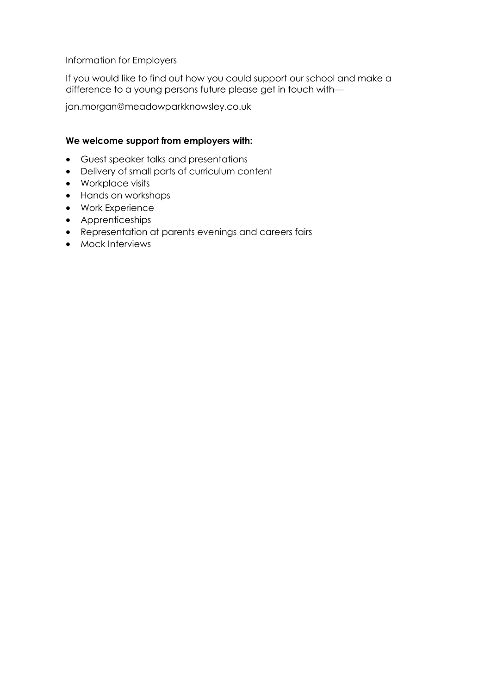Information for Employers

If you would like to find out how you could support our school and make a difference to a young persons future please get in touch with—

jan.morgan@meadowparkknowsley.co.uk

#### **We welcome support from employers with:**

- Guest speaker talks and presentations
- Delivery of small parts of curriculum content
- Workplace visits
- Hands on workshops
- Work Experience
- Apprenticeships
- Representation at parents evenings and careers fairs
- Mock Interviews